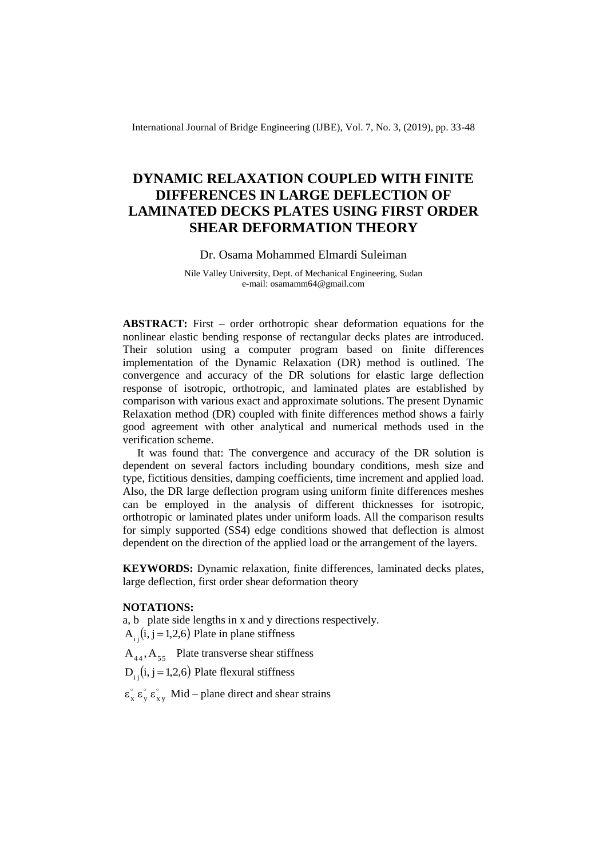International Journal of Bridge Engineering (IJBE), Vol. 7, No. 3, (2019), pp. 33-48

# **DYNAMIC RELAXATION COUPLED WITH FINITE DIFFERENCES IN LARGE DEFLECTION OF LAMINATED DECKS PLATES USING FIRST ORDER SHEAR DEFORMATION THEORY**

## Dr. Osama Mohammed Elmardi Suleiman

Nile Valley University, Dept. of Mechanical Engineering, Sudan e-mail: osamamm64@gmail.com

**ABSTRACT:** First – order orthotropic shear deformation equations for the nonlinear elastic bending response of rectangular decks plates are introduced. Their solution using a computer program based on finite differences implementation of the Dynamic Relaxation (DR) method is outlined. The convergence and accuracy of the DR solutions for elastic large deflection response of isotropic, orthotropic, and laminated plates are established by comparison with various exact and approximate solutions. The present Dynamic Relaxation method (DR) coupled with finite differences method shows a fairly good agreement with other analytical and numerical methods used in the verification scheme.

It was found that: The convergence and accuracy of the DR solution is dependent on several factors including boundary conditions, mesh size and type, fictitious densities, damping coefficients, time increment and applied load. Also, the DR large deflection program using uniform finite differences meshes can be employed in the analysis of different thicknesses for isotropic, orthotropic or laminated plates under uniform loads. All the comparison results for simply supported (SS4) edge conditions showed that deflection is almost dependent on the direction of the applied load or the arrangement of the layers.

**KEYWORDS:** Dynamic relaxation, finite differences, laminated decks plates, large deflection, first order shear deformation theory

## **NOTATIONS:**

a, b plate side lengths in x and y directions respectively.  $A_{i,j}(i, j=1,2,6)$  Plate in plane stiffness

 $A_{44}$ ,  $A_{55}$  Plate transverse shear stiffness

 $D_{i,j}$ (i, j = 1,2,6) Plate flexural stiffness

 $\circ$  0 0  $\circ$  $\epsilon_{\mathbf{x}}^{\circ}$   $\epsilon_{\mathbf{x}\mathbf{y}}^{\circ}$  Mid – plane direct and shear strains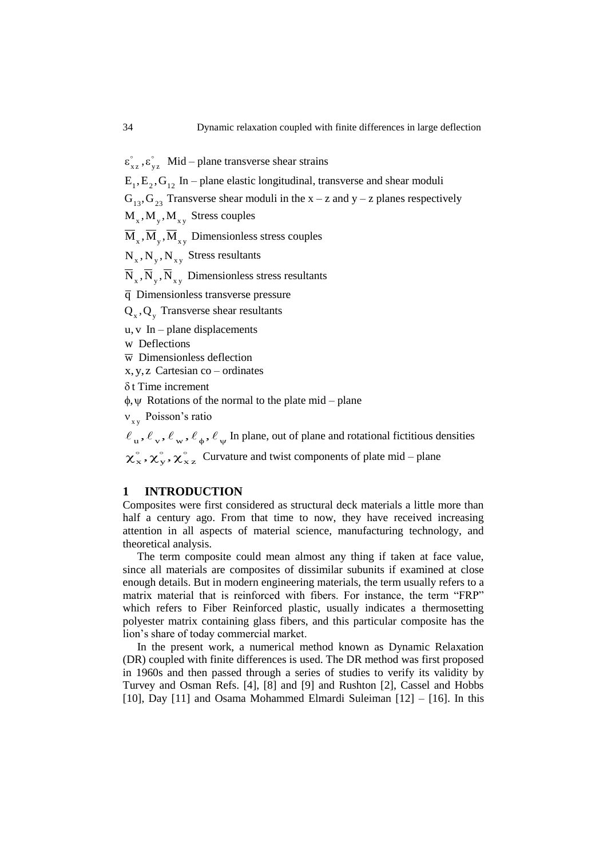$\circ$   $\circ$  $\epsilon_{xz}^{\circ}, \epsilon_{yz}^{\circ}$  Mid – plane transverse shear strains

 $E_1, E_2, G_{12}$  In – plane elastic longitudinal, transverse and shear moduli

 $G_{13}$ ,  $G_{23}$  Transverse shear moduli in the x – z and y – z planes respectively

 $M_{x}$ ,  $M_{y}$ ,  $M_{xy}$  Stress couples

 $\overline{\mathbf{M}}_{\mathbf{x}}$ ,  $\overline{\mathbf{M}}_{\mathbf{x}}$ ,  $\overline{\mathbf{M}}_{\mathbf{x}\mathbf{y}}$  Dimensionless stress couples

 $N_x$ ,  $N_y$ ,  $N_{xy}$  Stress resultants

 $N_{x}$ ,  $N_{y}$ ,  $N_{xy}$  Dimensionless stress resultants

q Dimensionless transverse pressure

 $Q_{x}$ ,  $Q_{y}$  Transverse shear resultants

u, v In – plane displacements

w Deflections

 $\overline{w}$  Dimensionless deflection

x, y,z Cartesian co – ordinates

 $\delta$  t Time increment

 $\phi$ ,  $\psi$  Rotations of the normal to the plate mid – plane

 $v_{xy}$  Poisson's ratio

 $\ell_{\rm u}, \ell_{\rm v}, \ell_{\rm w}, \ell_{\phi}, \ell_{\rm v}$  In plane, out of plane and rotational fictitious densities

 $\frac{1}{2}$   $\frac{1}{2}$  $\chi$ <sup>o</sup><sub>x</sub>,  $\chi$ <sup>o</sup><sub>y</sub>,  $\chi$ <sup>o</sup><sub>x</sub><sub>z</sub> Curvature and twist components of plate mid – plane

#### **1 INTRODUCTION**

Composites were first considered as structural deck materials a little more than half a century ago. From that time to now, they have received increasing attention in all aspects of material science, manufacturing technology, and theoretical analysis.

The term composite could mean almost any thing if taken at face value, since all materials are composites of dissimilar subunits if examined at close enough details. But in modern engineering materials, the term usually refers to a matrix material that is reinforced with fibers. For instance, the term "FRP" which refers to Fiber Reinforced plastic, usually indicates a thermosetting polyester matrix containing glass fibers, and this particular composite has the lion"s share of today commercial market.

In the present work, a numerical method known as Dynamic Relaxation (DR) coupled with finite differences is used. The DR method was first proposed in 1960s and then passed through a series of studies to verify its validity by Turvey and Osman Refs. [4], [8] and [9] and Rushton [2], Cassel and Hobbs [10], Day [11] and Osama Mohammed Elmardi Suleiman [12] – [16]. In this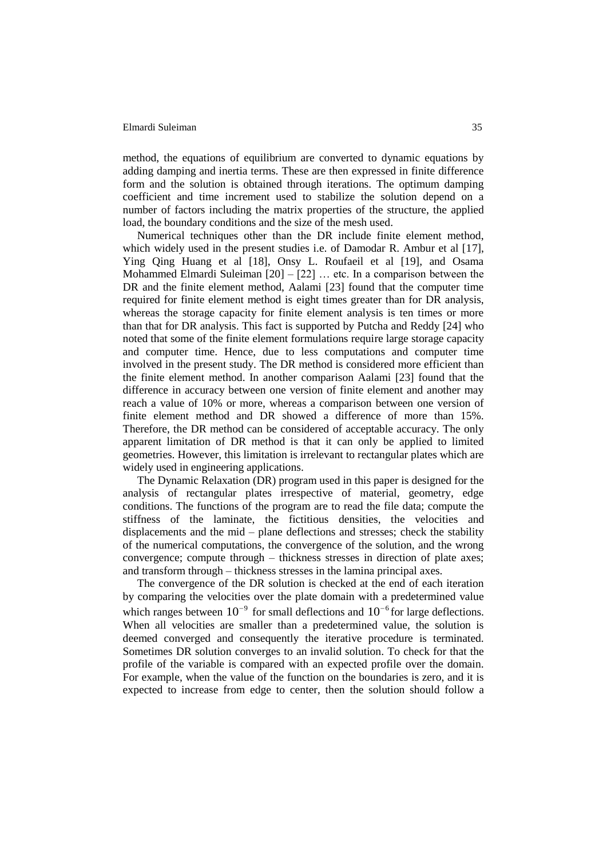method, the equations of equilibrium are converted to dynamic equations by adding damping and inertia terms. These are then expressed in finite difference form and the solution is obtained through iterations. The optimum damping coefficient and time increment used to stabilize the solution depend on a number of factors including the matrix properties of the structure, the applied load, the boundary conditions and the size of the mesh used.

Numerical techniques other than the DR include finite element method, which widely used in the present studies i.e. of Damodar R. Ambur et al [17], Ying Qing Huang et al [18], Onsy L. Roufaeil et al [19], and Osama Mohammed Elmardi Suleiman  $[20] - [22]$  ... etc. In a comparison between the DR and the finite element method, Aalami [23] found that the computer time required for finite element method is eight times greater than for DR analysis, whereas the storage capacity for finite element analysis is ten times or more than that for DR analysis. This fact is supported by Putcha and Reddy [24] who noted that some of the finite element formulations require large storage capacity and computer time. Hence, due to less computations and computer time involved in the present study. The DR method is considered more efficient than the finite element method. In another comparison Aalami [23] found that the difference in accuracy between one version of finite element and another may reach a value of 10% or more, whereas a comparison between one version of finite element method and DR showed a difference of more than 15%. Therefore, the DR method can be considered of acceptable accuracy. The only apparent limitation of DR method is that it can only be applied to limited geometries. However, this limitation is irrelevant to rectangular plates which are widely used in engineering applications.

The Dynamic Relaxation (DR) program used in this paper is designed for the analysis of rectangular plates irrespective of material, geometry, edge conditions. The functions of the program are to read the file data; compute the stiffness of the laminate, the fictitious densities, the velocities and displacements and the mid – plane deflections and stresses; check the stability of the numerical computations, the convergence of the solution, and the wrong convergence; compute through – thickness stresses in direction of plate axes; and transform through – thickness stresses in the lamina principal axes.

The convergence of the DR solution is checked at the end of each iteration by comparing the velocities over the plate domain with a predetermined value which ranges between  $10^{-9}$  for small deflections and  $10^{-6}$  for large deflections. When all velocities are smaller than a predetermined value, the solution is deemed converged and consequently the iterative procedure is terminated. Sometimes DR solution converges to an invalid solution. To check for that the profile of the variable is compared with an expected profile over the domain. For example, when the value of the function on the boundaries is zero, and it is expected to increase from edge to center, then the solution should follow a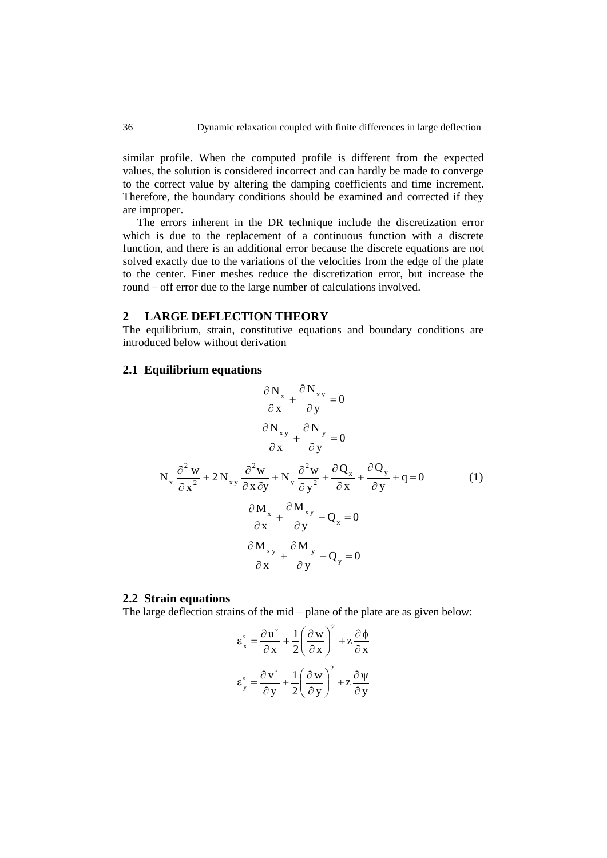similar profile. When the computed profile is different from the expected values, the solution is considered incorrect and can hardly be made to converge to the correct value by altering the damping coefficients and time increment. Therefore, the boundary conditions should be examined and corrected if they are improper.

The errors inherent in the DR technique include the discretization error which is due to the replacement of a continuous function with a discrete function, and there is an additional error because the discrete equations are not solved exactly due to the variations of the velocities from the edge of the plate to the center. Finer meshes reduce the discretization error, but increase the round – off error due to the large number of calculations involved.

### **2 LARGE DEFLECTION THEORY**

The equilibrium, strain, constitutive equations and boundary conditions are introduced below without derivation

## **2.1 Equilibrium equations**

$$
\frac{\partial N_x}{\partial x} + \frac{\partial N_{xy}}{\partial y} = 0
$$

$$
\frac{\partial N_{xy}}{\partial x} + \frac{\partial N_y}{\partial y} = 0
$$

$$
N_x \frac{\partial^2 w}{\partial x^2} + 2N_{xy} \frac{\partial^2 w}{\partial x \partial y} + N_y \frac{\partial^2 w}{\partial y^2} + \frac{\partial Q_x}{\partial x} + \frac{\partial Q_y}{\partial y} + q = 0 \qquad (1)
$$

$$
\frac{\partial M_x}{\partial x} + \frac{\partial M_{xy}}{\partial y} - Q_x = 0
$$

$$
\frac{\partial M_{xy}}{\partial x} + \frac{\partial M_y}{\partial y} - Q_y = 0
$$

#### **2.2 Strain equations**

The large deflection strains of the mid – plane of the plate are as given below:

$$
\varepsilon_{x}^{\circ} = \frac{\partial u^{\circ}}{\partial x} + \frac{1}{2} \left( \frac{\partial w}{\partial x} \right)^{2} + z \frac{\partial \phi}{\partial x}
$$

$$
\varepsilon_{y}^{\circ} = \frac{\partial v^{\circ}}{\partial y} + \frac{1}{2} \left( \frac{\partial w}{\partial y} \right)^{2} + z \frac{\partial \psi}{\partial y}
$$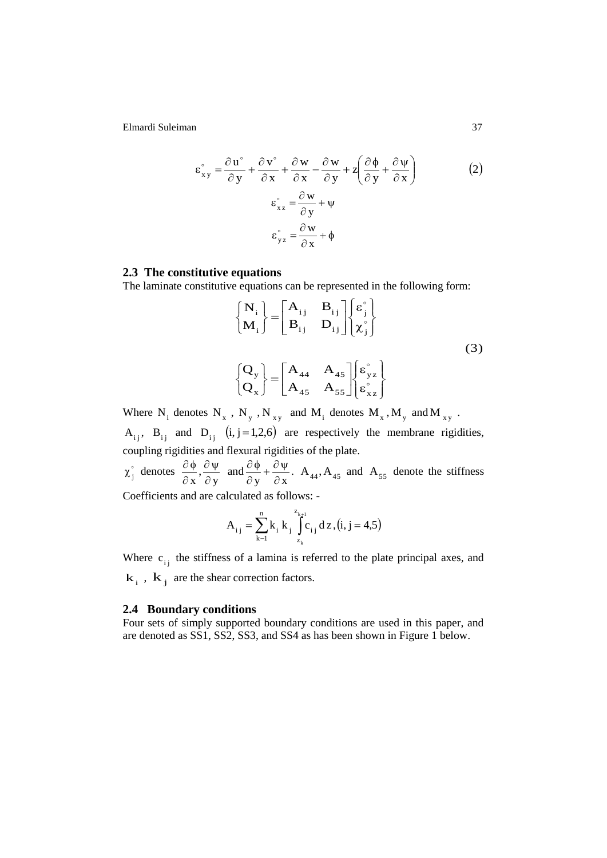$$
\varepsilon_{xy}^{\circ} = \frac{\partial u^{\circ}}{\partial y} + \frac{\partial v^{\circ}}{\partial x} + \frac{\partial w}{\partial x} - \frac{\partial w}{\partial y} + z \left( \frac{\partial \phi}{\partial y} + \frac{\partial \psi}{\partial x} \right)
$$
  

$$
\varepsilon_{xz}^{\circ} = \frac{\partial w}{\partial y} + \psi
$$
  

$$
\varepsilon_{yz}^{\circ} = \frac{\partial w}{\partial x} + \phi
$$
 (2)

### **2.3 The constitutive equations**

The laminate constitutive equations can be represented in the following form:

$$
\begin{cases}\nN_{i} \\
M_{i}\n\end{cases} =\n\begin{bmatrix}\nA_{ij} & B_{ij} \\
B_{ij} & D_{ij}\n\end{bmatrix}\n\begin{bmatrix}\n\varepsilon_{j}^{\circ} \\
\chi_{j}^{\circ}\n\end{bmatrix}
$$
\n(3)\n
$$
\begin{cases}\nQ_{y} \\
Q_{x}\n\end{cases} =\n\begin{bmatrix}\nA_{44} & A_{45} \\
A_{45} & A_{55}\n\end{bmatrix}\n\begin{bmatrix}\n\varepsilon_{yz}^{\circ} \\
\varepsilon_{xz}^{\circ}\n\end{bmatrix}
$$

Where  $N_i$  denotes  $N_x$ ,  $N_y$ ,  $N_{xy}$  and  $M_i$  denotes  $M_x$ ,  $M_y$  and  $M_{xy}$ .

 $A_{ij}$ ,  $B_{ij}$  and  $D_{ij}$  (i, j = 1,2,6) are respectively the membrane rigidities, coupling rigidities and flexural rigidities of the plate.

 $\circ$  $\chi_j^{\circ}$  denotes y ,  $\mathbf{x}^{\star}$  d  $\partial \Psi$  $\partial$  $\frac{\partial \phi}{\partial x}$ ,  $\frac{\partial \psi}{\partial y}$  and  $y \quad \partial x$  $+\frac{\partial \Psi}{\partial x}$  $\partial$  $\frac{\partial \phi}{\partial x} + \frac{\partial \psi}{\partial x}$ . A<sub>44</sub>, A<sub>45</sub> and A<sub>55</sub> denote the stiffness Coefficients and are calculated as follows: -

$$
A_{i j} = \sum_{k=1}^{n} k_{i} k_{j} \int_{z_{k}}^{z_{k+1}} c_{i j} dz, (i, j = 4.5)
$$

Where  $c_{ij}$  the stiffness of a lamina is referred to the plate principal axes, and  $\mathbf{k}_i$ ,  $\mathbf{k}_j$  are the shear correction factors.

# **2.4 Boundary conditions**

Four sets of simply supported boundary conditions are used in this paper, and are denoted as SS1, SS2, SS3, and SS4 as has been shown in Figure 1 below.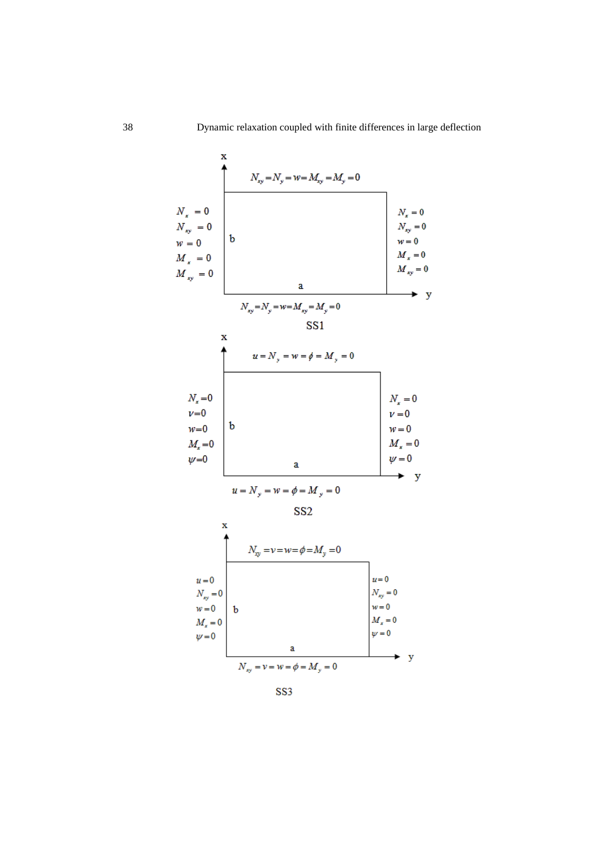

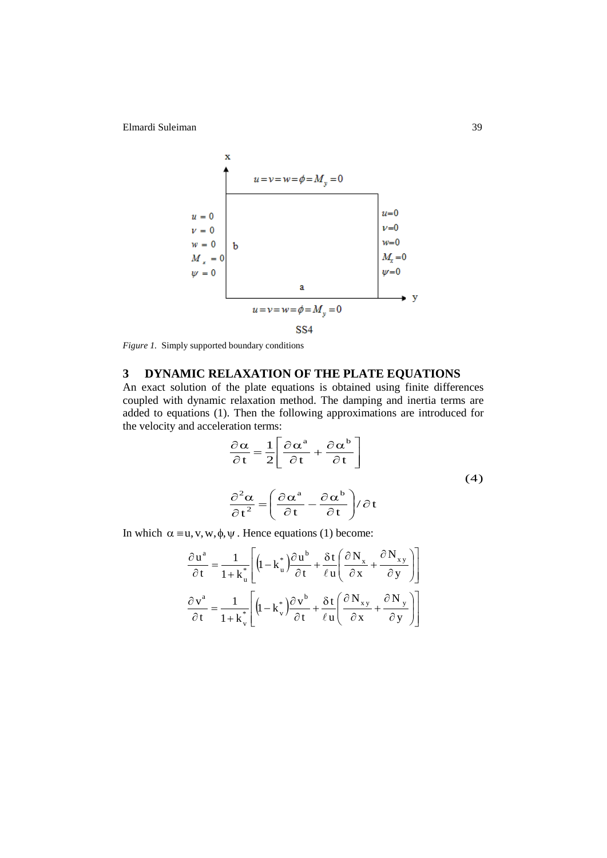x  
\n
$$
u = v = w = \phi = M_y = 0
$$
\n
$$
u = 0
$$
\n
$$
w = 0
$$
\n
$$
M_x = 0
$$
\n
$$
w = 0
$$
\n
$$
W = 0
$$
\n
$$
u = v = w = \phi = M_y = 0
$$
\n
$$
SSA
$$
\n
$$
V = 0
$$
\n
$$
V = 0
$$
\n
$$
M_x = 0
$$
\n
$$
V = 0
$$
\n
$$
V = 0
$$
\n
$$
V = 0
$$
\n
$$
V = 0
$$
\n
$$
V = 0
$$

*Figure 1.* Simply supported boundary conditions

# **3 DYNAMIC RELAXATION OF THE PLATE EQUATIONS**

An exact solution of the plate equations is obtained using finite differences coupled with dynamic relaxation method. The damping and inertia terms are added to equations (1). Then the following approximations are introduced for the velocity and acceleration terms:

$$
\frac{\partial \alpha}{\partial t} = \frac{1}{2} \left[ \frac{\partial \alpha^a}{\partial t} + \frac{\partial \alpha^b}{\partial t} \right]
$$
  

$$
\frac{\partial^2 \alpha}{\partial t^2} = \left( \frac{\partial \alpha^a}{\partial t} - \frac{\partial \alpha^b}{\partial t} \right) / \partial t
$$
 (4)

In which  $\alpha \equiv u, v, w, \phi, \psi$ . Hence equations (1) become:

$$
\frac{\partial \mathbf{u}^{a}}{\partial t} = \frac{1}{1 + \mathbf{k}_{u}^{*}} \left[ \left( 1 - \mathbf{k}_{u}^{*} \right) \frac{\partial \mathbf{u}^{b}}{\partial t} + \frac{\delta \mathbf{t}}{\ell \mathbf{u}} \left( \frac{\partial \mathbf{N}_{x}}{\partial x} + \frac{\partial \mathbf{N}_{xy}}{\partial y} \right) \right]
$$

$$
\frac{\partial \mathbf{v}^{a}}{\partial t} = \frac{1}{1 + \mathbf{k}_{v}^{*}} \left[ \left( 1 - \mathbf{k}_{v}^{*} \right) \frac{\partial \mathbf{v}^{b}}{\partial t} + \frac{\delta \mathbf{t}}{\ell \mathbf{u}} \left( \frac{\partial \mathbf{N}_{xy}}{\partial x} + \frac{\partial \mathbf{N}_{yy}}{\partial y} \right) \right]
$$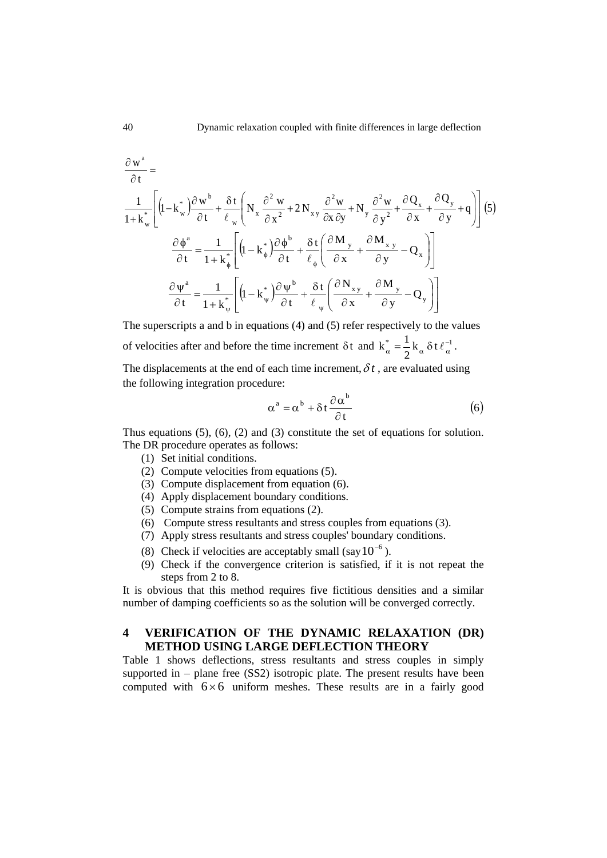$$
\frac{\partial w^{a}}{\partial t} = \frac{1}{1 + k_{w}^{*}} \left[ \left( 1 - k_{w}^{*} \right) \frac{\partial w^{b}}{\partial t} + \frac{\delta t}{\ell_{w}} \left( N_{x} \frac{\partial^{2} w}{\partial x^{2}} + 2 N_{xy} \frac{\partial^{2} w}{\partial x \partial y} + N_{y} \frac{\partial^{2} w}{\partial y^{2}} + \frac{\partial Q_{x}}{\partial x} + \frac{\partial Q_{y}}{\partial y} + q \right) \right] (5)
$$
\n
$$
\frac{\partial \phi^{a}}{\partial t} = \frac{1}{1 + k_{\phi}^{*}} \left[ \left( 1 - k_{\phi}^{*} \right) \frac{\partial \phi^{b}}{\partial t} + \frac{\delta t}{\ell_{\phi}} \left( \frac{\partial M_{y}}{\partial x} + \frac{\partial M_{x}^{*} y}{\partial y} - Q_{x} \right) \right]
$$
\n
$$
\frac{\partial \psi^{a}}{\partial t} = \frac{1}{1 + k_{\psi}^{*}} \left[ \left( 1 - k_{\psi}^{*} \right) \frac{\partial \psi^{b}}{\partial t} + \frac{\delta t}{\ell_{\psi}} \left( \frac{\partial N_{xy}}{\partial x} + \frac{\partial M_{y}}{\partial y} - Q_{y} \right) \right]
$$

The superscripts a and b in equations (4) and (5) refer respectively to the values of velocities after and before the time increment  $\delta t$  and  $k_{\alpha}^* = \frac{1}{2} k_{\alpha} \delta t \ell_{\alpha}^{-1}$ 2  $k_{\alpha}^* = \frac{1}{2} k_{\alpha} \, \delta t \, \ell_{\alpha}^*$  $\alpha^* = \frac{1}{2} k_\alpha \, \delta t \, \ell_\alpha^{-1}.$ 

The displacements at the end of each time increment,  $\delta t$ , are evaluated using the following integration procedure:

$$
\alpha^{\mathbf{a}} = \alpha^{\mathbf{b}} + \delta \mathbf{t} \frac{\partial \alpha^{\mathbf{b}}}{\partial \mathbf{t}} \tag{6}
$$

Thus equations (5), (6), (2) and (3) constitute the set of equations for solution. The DR procedure operates as follows:

- (1) Set initial conditions.
- (2) Compute velocities from equations (5).
- (3) Compute displacement from equation (6).
- (4) Apply displacement boundary conditions.
- (5) Compute strains from equations (2).
- (6) Compute stress resultants and stress couples from equations (3).
- (7) Apply stress resultants and stress couples' boundary conditions.
- (8) Check if velocities are acceptably small (say  $10^{-6}$ ).
- (9) Check if the convergence criterion is satisfied, if it is not repeat the steps from 2 to 8.

It is obvious that this method requires five fictitious densities and a similar number of damping coefficients so as the solution will be converged correctly.

# **4 VERIFICATION OF THE DYNAMIC RELAXATION (DR) METHOD USING LARGE DEFLECTION THEORY**

Table 1 shows deflections, stress resultants and stress couples in simply supported in – plane free (SS2) isotropic plate. The present results have been computed with  $6 \times 6$  uniform meshes. These results are in a fairly good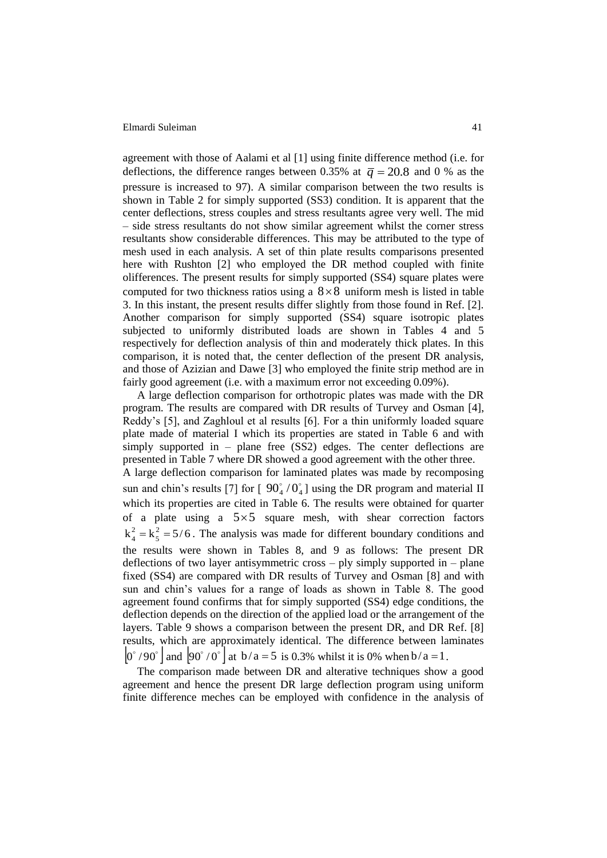agreement with those of Aalami et al [1] using finite difference method (i.e. for deflections, the difference ranges between 0.35% at  $\bar{q} = 20.8$  and 0 % as the pressure is increased to 97). A similar comparison between the two results is shown in Table 2 for simply supported (SS3) condition. It is apparent that the center deflections, stress couples and stress resultants agree very well. The mid – side stress resultants do not show similar agreement whilst the corner stress resultants show considerable differences. This may be attributed to the type of mesh used in each analysis. A set of thin plate results comparisons presented here with Rushton [2] who employed the DR method coupled with finite olifferences. The present results for simply supported (SS4) square plates were computed for two thickness ratios using a  $8 \times 8$  uniform mesh is listed in table 3. In this instant, the present results differ slightly from those found in Ref. [2]. Another comparison for simply supported (SS4) square isotropic plates subjected to uniformly distributed loads are shown in Tables 4 and 5 respectively for deflection analysis of thin and moderately thick plates. In this comparison, it is noted that, the center deflection of the present DR analysis, and those of Azizian and Dawe [3] who employed the finite strip method are in fairly good agreement (i.e. with a maximum error not exceeding 0.09%).

A large deflection comparison for orthotropic plates was made with the DR program. The results are compared with DR results of Turvey and Osman [4], Reddy"s [5], and Zaghloul et al results [6]. For a thin uniformly loaded square plate made of material I which its properties are stated in Table 6 and with simply supported in – plane free (SS2) edges. The center deflections are presented in Table 7 where DR showed a good agreement with the other three. A large deflection comparison for laminated plates was made by recomposing sun and chin's results [7] for  $[90^{\circ}_4/0^{\circ}_4]$  using the DR program and material II which its properties are cited in Table 6. The results were obtained for quarter of a plate using a  $5 \times 5$  square mesh, with shear correction factors  $k_A^2 = k_5^2 = 5/6$ 5 2  $\frac{2}{4} = k_5^2 = 5/6$ . The analysis was made for different boundary conditions and the results were shown in Tables 8, and 9 as follows: The present DR deflections of two layer antisymmetric cross – ply simply supported in – plane fixed (SS4) are compared with DR results of Turvey and Osman [8] and with sun and chin"s values for a range of loads as shown in Table 8. The good agreement found confirms that for simply supported (SS4) edge conditions, the deflection depends on the direction of the applied load or the arrangement of the layers. Table 9 shows a comparison between the present DR, and DR Ref. [8] results, which are approximately identical. The difference between laminates  $|0^{\degree}/90^{\degree}|$  and  $|90^{\degree}/0^{\degree}|$  at  $b/a = 5$  is 0.3% whilst it is 0% when  $b/a = 1$ .

The comparison made between DR and alterative techniques show a good agreement and hence the present DR large deflection program using uniform finite difference meches can be employed with confidence in the analysis of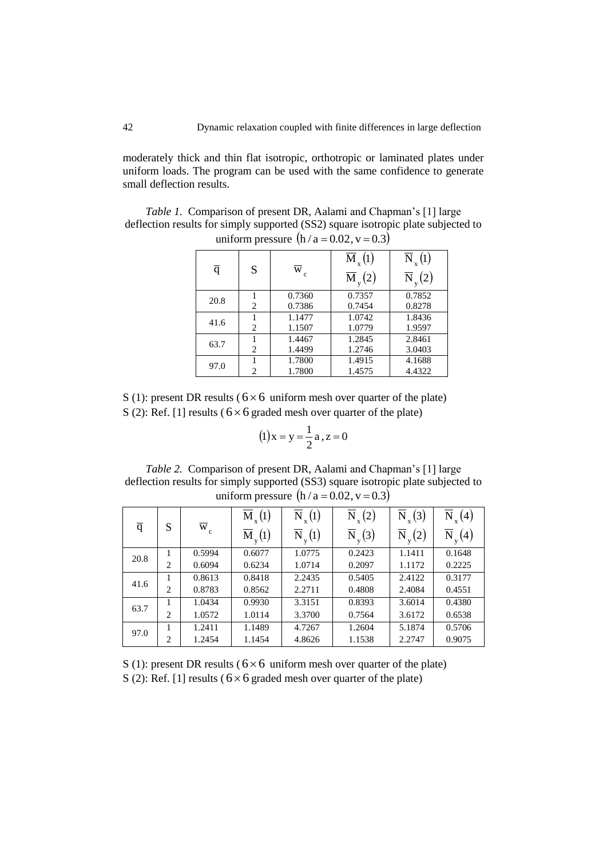moderately thick and thin flat isotropic, orthotropic or laminated plates under uniform loads. The program can be used with the same confidence to generate small deflection results.

*Table 1.* Comparison of present DR, Aalami and Chapman"s [1] large deflection results for simply supported (SS2) square isotropic plate subjected to uniform pressure  $(h/a = 0.02, v = 0.3)$ 

| q    | S              | W                | $\overline{\mathbf{M}}_{\mathbf{x}}(1)$<br>$\overline{\mathrm{M}}_{\mathrm{v}}(2)$ | $\overline{\rm N}_{_{\rm x}}(\rm l)$<br>$\overline{\rm N}_{_{\rm V}}(2)$ |
|------|----------------|------------------|------------------------------------------------------------------------------------|--------------------------------------------------------------------------|
| 20.8 | 2              | 0.7360<br>0.7386 | 0.7357<br>0.7454                                                                   | 0.7852<br>0.8278                                                         |
| 41.6 | 2              | 1.1477<br>1.1507 | 1.0742<br>1.0779                                                                   | 1.8436<br>1.9597                                                         |
| 63.7 | 2              | 1.4467<br>1.4499 | 1.2845<br>1.2746                                                                   | 2.8461<br>3.0403                                                         |
| 97.0 | $\overline{c}$ | 1.7800<br>1.7800 | 1.4915<br>1.4575                                                                   | 4.1688<br>4.4322                                                         |

S (1): present DR results ( $6 \times 6$  uniform mesh over quarter of the plate) S (2): Ref. [1] results ( $6 \times 6$  graded mesh over quarter of the plate)

$$
(1) x = y = \frac{1}{2} a, z = 0
$$

*Table 2.* Comparison of present DR, Aalami and Chapman's [1] large deflection results for simply supported (SS3) square isotropic plate subjected to uniform pressure  $(h/a = 0.02, v = 0.3)$ 

|                |   |                  | $\overline{M}_{x}(1)$                   | $\overline{\rm N}_{_{\rm x}}(\rm l)$ | $\overline{\rm N}_{_{\rm x}}(2)$        | $\overline{\mathrm{N}}_{_{\mathrm{x}}} \big( 3 \big)$ | $\overline{\text{N}}$<br>$\binom{4}{}$ |
|----------------|---|------------------|-----------------------------------------|--------------------------------------|-----------------------------------------|-------------------------------------------------------|----------------------------------------|
| $\overline{q}$ | S | $\overline{w}_c$ | $\overline{\mathrm{M}}_{\mathrm{v}}(1)$ | $\overline{\rm N}_{_{\rm V}}(\!1)$   | $\overline{\mathrm{N}}_{\mathrm{v}}(3)$ | $\overline{\rm N}_{_{\rm v}}(2)$                      | $_{v}(4)$<br>N                         |
| 20.8           |   | 0.5994           | 0.6077                                  | 1.0775                               | 0.2423                                  | 1.1411                                                | 0.1648                                 |
|                | 2 | 0.6094           | 0.6234                                  | 1.0714                               | 0.2097                                  | 1.1172                                                | 0.2225                                 |
|                |   | 0.8613           | 0.8418                                  | 2.2435                               | 0.5405                                  | 2.4122                                                | 0.3177                                 |
| 41.6           | 2 | 0.8783           | 0.8562                                  | 2.2711                               | 0.4808                                  | 2.4084                                                | 0.4551                                 |
| 63.7           |   | 1.0434           | 0.9930                                  | 3.3151                               | 0.8393                                  | 3.6014                                                | 0.4380                                 |
|                | 2 | 1.0572           | 1.0114                                  | 3.3700                               | 0.7564                                  | 3.6172                                                | 0.6538                                 |
| 97.0           |   | 1.2411           | 1.1489                                  | 4.7267                               | 1.2604                                  | 5.1874                                                | 0.5706                                 |
|                | 2 | 1.2454           | 1.1454                                  | 4.8626                               | 1.1538                                  | 2.2747                                                | 0.9075                                 |

S (1): present DR results ( $6 \times 6$  uniform mesh over quarter of the plate) S (2): Ref. [1] results ( $6 \times 6$  graded mesh over quarter of the plate)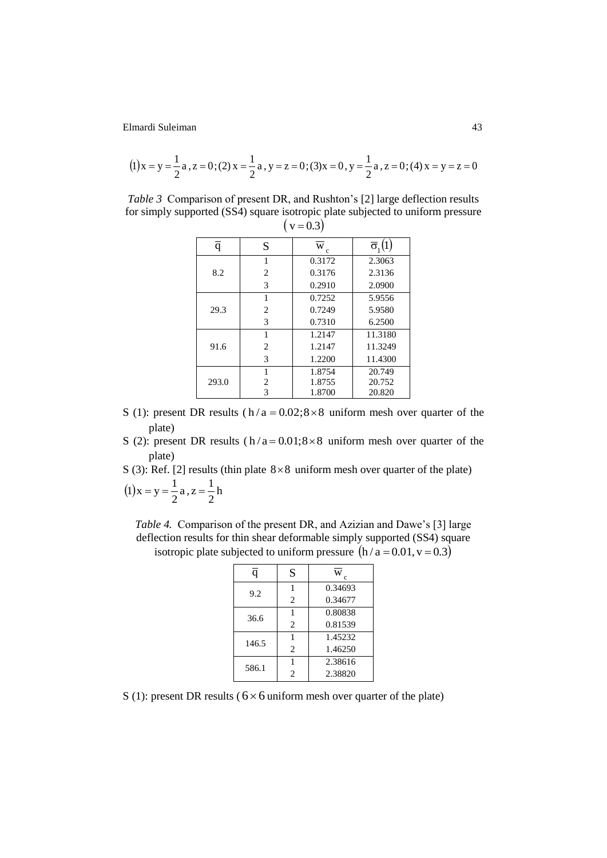$$
(1) x = y = \frac{1}{2} a, z = 0; (2) x = \frac{1}{2} a, y = z = 0; (3) x = 0, y = \frac{1}{2} a, z = 0; (4) x = y = z = 0
$$

*Table 3* Comparison of present DR, and Rushton's [2] large deflection results for simply supported (SS4) square isotropic plate subjected to uniform pressure  $\left(v = 0.3\right)$ 

|       | $\cdots$       |        |                            |  |  |  |  |
|-------|----------------|--------|----------------------------|--|--|--|--|
| q     | S              | W<br>c | $\overline{\sigma}_{i}(1)$ |  |  |  |  |
|       | 1              | 0.3172 | 2.3063                     |  |  |  |  |
| 8.2   | $\overline{2}$ | 0.3176 | 2.3136                     |  |  |  |  |
|       | 3              | 0.2910 | 2.0900                     |  |  |  |  |
|       | 1              | 0.7252 | 5.9556                     |  |  |  |  |
| 29.3  | $\overline{2}$ | 0.7249 | 5.9580                     |  |  |  |  |
|       | 3              | 0.7310 | 6.2500                     |  |  |  |  |
|       | 1              | 1.2147 | 11.3180                    |  |  |  |  |
| 91.6  | $\overline{c}$ | 1.2147 | 11.3249                    |  |  |  |  |
|       | 3              | 1.2200 | 11.4300                    |  |  |  |  |
|       | 1              | 1.8754 | 20.749                     |  |  |  |  |
| 293.0 | 2              | 1.8755 | 20.752                     |  |  |  |  |
|       | 3              | 1.8700 | 20.820                     |  |  |  |  |

- S (1): present DR results ( $h/a = 0.02$ ;  $8 \times 8$  uniform mesh over quarter of the plate)
- S (2): present DR results  $(h/a = 0.01; 8 \times 8)$  uniform mesh over quarter of the plate)

S (3): Ref. [2] results (thin plate  $8 \times 8$  uniform mesh over quarter of the plate)

$$
(1)x = y = \frac{1}{2}a, z = \frac{1}{2}h
$$

*Table 4.* Comparison of the present DR, and Azizian and Dawe"s [3] large deflection results for thin shear deformable simply supported (SS4) square isotropic plate subjected to uniform pressure  $(h/a = 0.01, v = 0.3)$ 

| q     | S              | W<br>c  |
|-------|----------------|---------|
| 9.2   |                | 0.34693 |
|       | $\overline{c}$ | 0.34677 |
| 36.6  |                | 0.80838 |
|       | $\overline{c}$ | 0.81539 |
| 146.5 |                | 1.45232 |
|       | $\overline{c}$ | 1.46250 |
| 586.1 |                | 2.38616 |
|       | 2              | 2.38820 |

S (1): present DR results ( $6 \times 6$  uniform mesh over quarter of the plate)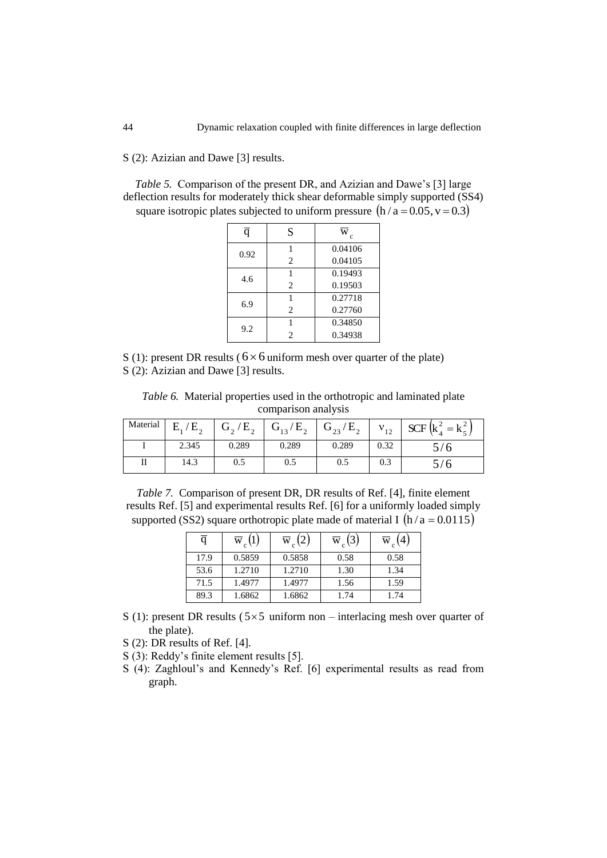S (2): Azizian and Dawe [3] results.

*Table 5.* Comparison of the present DR, and Azizian and Dawe"s [3] large deflection results for moderately thick shear deformable simply supported (SS4) square isotropic plates subjected to uniform pressure  $(h/a = 0.05, v = 0.3)$ 

| q    | S              | W<br>c  |
|------|----------------|---------|
| 0.92 |                | 0.04106 |
|      | 2              | 0.04105 |
| 4.6  |                | 0.19493 |
|      | $\overline{c}$ | 0.19503 |
| 6.9  |                | 0.27718 |
|      | 2              | 0.27760 |
| 9.2  |                | 0.34850 |
|      | 2              | 0.34938 |

S (1): present DR results ( $6 \times 6$  uniform mesh over quarter of the plate) S (2): Azizian and Dawe [3] results.

*Table 6.* Material properties used in the orthotropic and laminated plate comparison analysis

| Material | $E_1/E_2$ | $G_2/E_2$<br>∸ | $G_{13}/E_{2}$ | $G_{23}/E_{2}$ | $V_{12}$ | $SCF\left(k_4^2 = k_5^2\right)$ |
|----------|-----------|----------------|----------------|----------------|----------|---------------------------------|
|          | 2.345     | 0.289          | 0.289          | 0.289          | 0.32     |                                 |
| п        | 14.3      | 0.5            | 0.5            | 0.5            | 0.3      |                                 |

*Table 7.* Comparison of present DR, DR results of Ref. [4], finite element results Ref. [5] and experimental results Ref. [6] for a uniformly loaded simply supported (SS2) square orthotropic plate made of material I  $(h/a = 0.0115)$ 

| q    | $\overline{w}_c(1)$ | $\overline{w}_c(2)$ | $\overline{w}_c(3)$ | $\overline{w}$ |
|------|---------------------|---------------------|---------------------|----------------|
| 17.9 | 0.5859              | 0.5858              | 0.58                | 0.58           |
| 53.6 | 1.2710              | 1.2710              | 1.30                | 1.34           |
| 71.5 | 1.4977              | 1.4977              | 1.56                | 1.59           |
| 89.3 | 1.6862              | 1.6862              | 1.74                | 1.74           |

- S (1): present DR results ( $5\times 5$  uniform non interlacing mesh over quarter of the plate).
- S (2): DR results of Ref. [4].

S (3): Reddy"s finite element results [5].

S (4): Zaghloul's and Kennedy's Ref. [6] experimental results as read from graph.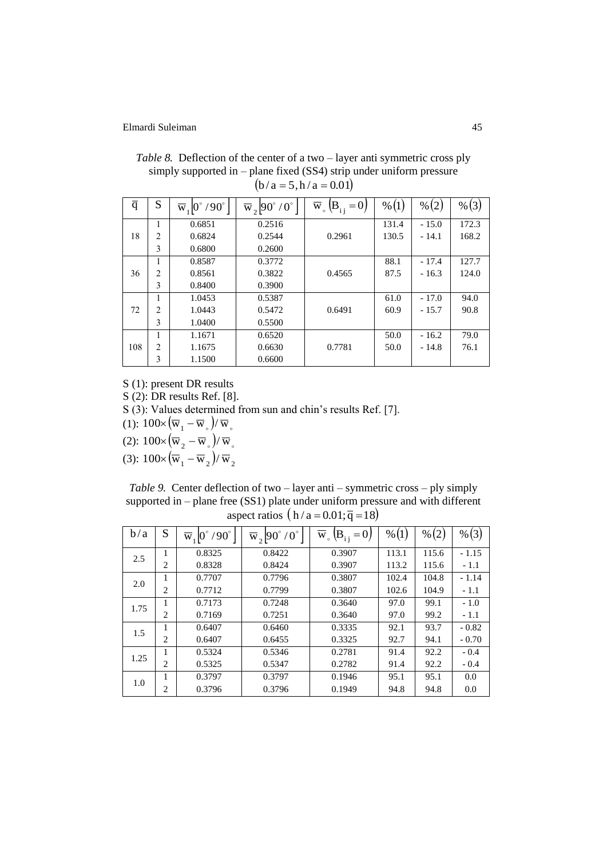| $\overline{q}$ | S              | $\overline{w}_1$  0°/90° | $\overline{w}_2$ 90° /0° | $\overline{\mathbf{W}}$ $_{\circ}$<br>$(B_{i} = 0)$ | % (1) | % (2)   | % (3) |
|----------------|----------------|--------------------------|--------------------------|-----------------------------------------------------|-------|---------|-------|
|                |                | 0.6851                   | 0.2516                   |                                                     | 131.4 | $-15.0$ | 172.3 |
| 18             | $\overline{2}$ | 0.6824                   | 0.2544                   | 0.2961                                              | 130.5 | $-14.1$ | 168.2 |
|                | 3              | 0.6800                   | 0.2600                   |                                                     |       |         |       |
|                |                | 0.8587                   | 0.3772                   |                                                     | 88.1  | $-17.4$ | 127.7 |
| 36             | $\overline{2}$ | 0.8561                   | 0.3822                   | 0.4565                                              | 87.5  | $-16.3$ | 124.0 |
|                | 3              | 0.8400                   | 0.3900                   |                                                     |       |         |       |
|                |                | 1.0453                   | 0.5387                   |                                                     | 61.0  | $-17.0$ | 94.0  |
| 72             | $\overline{2}$ | 1.0443                   | 0.5472                   | 0.6491                                              | 60.9  | $-15.7$ | 90.8  |
|                | 3              | 1.0400                   | 0.5500                   |                                                     |       |         |       |
|                |                | 1.1671                   | 0.6520                   |                                                     | 50.0  | $-16.2$ | 79.0  |
| 108            | $\overline{2}$ | 1.1675                   | 0.6630                   | 0.7781                                              | 50.0  | $-14.8$ | 76.1  |
|                | 3              | 1.1500                   | 0.6600                   |                                                     |       |         |       |

*Table 8.* Deflection of the center of a two – layer anti symmetric cross ply simply supported in – plane fixed (SS4) strip under uniform pressure  $(b/a = 5, h/a = 0.01)$ 

S (1): present DR results

S (2): DR results Ref. [8].

S (3): Values determined from sun and chin's results Ref. [7].

(1):  $100 \times (\overline{w}_1 - \overline{w}_0) / \overline{w}_0$ 

(2):  $100 \times (\overline{w}_2 - \overline{w}_5)/\overline{w}_s$ 

(3):  $100 \times (\overline{w}_1 - \overline{w}_2)/\overline{w}_2$ 

*Table 9.* Center deflection of two – layer anti – symmetric cross – ply simply supported in – plane free (SS1) plate under uniform pressure and with different aspect ratios  $(h/a = 0.01; \overline{q} = 18)$ 

| b/a  | S              | $/90^\circ$<br>$\overline{w}_1 0$ | $\overline{w}_2$  90° /0° | $\overline{\mathbf{w}}$ .<br>$(B_{i j} = 0)$ | % (1) | % (2) | % (3)   |
|------|----------------|-----------------------------------|---------------------------|----------------------------------------------|-------|-------|---------|
| 2.5  | 1              | 0.8325                            | 0.8422                    | 0.3907                                       | 113.1 | 115.6 | $-1.15$ |
|      | 2              | 0.8328                            | 0.8424                    | 0.3907                                       | 113.2 | 115.6 | $-1.1$  |
| 2.0  | 1              | 0.7707                            | 0.7796                    | 0.3807                                       | 102.4 | 104.8 | $-1.14$ |
|      | $\overline{2}$ | 0.7712                            | 0.7799                    | 0.3807                                       | 102.6 | 104.9 | $-1.1$  |
| 1.75 | 1              | 0.7173                            | 0.7248                    | 0.3640                                       | 97.0  | 99.1  | $-1.0$  |
|      | 2              | 0.7169                            | 0.7251                    | 0.3640                                       | 97.0  | 99.2  | $-1.1$  |
| 1.5  |                | 0.6407                            | 0.6460                    | 0.3335                                       | 92.1  | 93.7  | $-0.82$ |
|      | $\overline{2}$ | 0.6407                            | 0.6455                    | 0.3325                                       | 92.7  | 94.1  | $-0.70$ |
| 1.25 | 1              | 0.5324                            | 0.5346                    | 0.2781                                       | 91.4  | 92.2  | $-0.4$  |
|      | 2              | 0.5325                            | 0.5347                    | 0.2782                                       | 91.4  | 92.2  | $-0.4$  |
| 1.0  |                | 0.3797                            | 0.3797                    | 0.1946                                       | 95.1  | 95.1  | 0.0     |
|      | $\overline{2}$ | 0.3796                            | 0.3796                    | 0.1949                                       | 94.8  | 94.8  | 0.0     |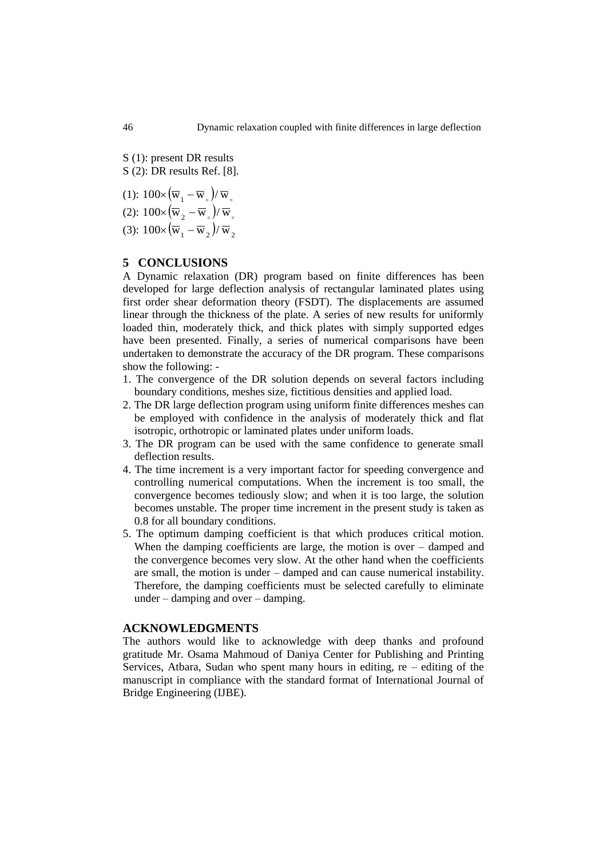S (1): present DR results S (2): DR results Ref. [8].

(1):  $100 \times (\overline{w}_1 - \overline{w}_0)/\overline{w}_0$ (2):  $100 \times (\overline{w}_2 - \overline{w}_5)/\overline{w}_s$ 

(3):  $100 \times (\overline{w}_1 - \overline{w}_2)/\overline{w}_2$ 

# **5 CONCLUSIONS**

A Dynamic relaxation (DR) program based on finite differences has been developed for large deflection analysis of rectangular laminated plates using first order shear deformation theory (FSDT). The displacements are assumed linear through the thickness of the plate. A series of new results for uniformly loaded thin, moderately thick, and thick plates with simply supported edges have been presented. Finally, a series of numerical comparisons have been undertaken to demonstrate the accuracy of the DR program. These comparisons show the following: -

- 1. The convergence of the DR solution depends on several factors including boundary conditions, meshes size, fictitious densities and applied load.
- 2. The DR large deflection program using uniform finite differences meshes can be employed with confidence in the analysis of moderately thick and flat isotropic, orthotropic or laminated plates under uniform loads.
- 3. The DR program can be used with the same confidence to generate small deflection results.
- 4. The time increment is a very important factor for speeding convergence and controlling numerical computations. When the increment is too small, the convergence becomes tediously slow; and when it is too large, the solution becomes unstable. The proper time increment in the present study is taken as 0.8 for all boundary conditions.
- 5. The optimum damping coefficient is that which produces critical motion. When the damping coefficients are large, the motion is over – damped and the convergence becomes very slow. At the other hand when the coefficients are small, the motion is under – damped and can cause numerical instability. Therefore, the damping coefficients must be selected carefully to eliminate under – damping and over – damping.

### **ACKNOWLEDGMENTS**

The authors would like to acknowledge with deep thanks and profound gratitude Mr. Osama Mahmoud of Daniya Center for Publishing and Printing Services, Atbara, Sudan who spent many hours in editing, re – editing of the manuscript in compliance with the standard format of International Journal of Bridge Engineering (IJBE).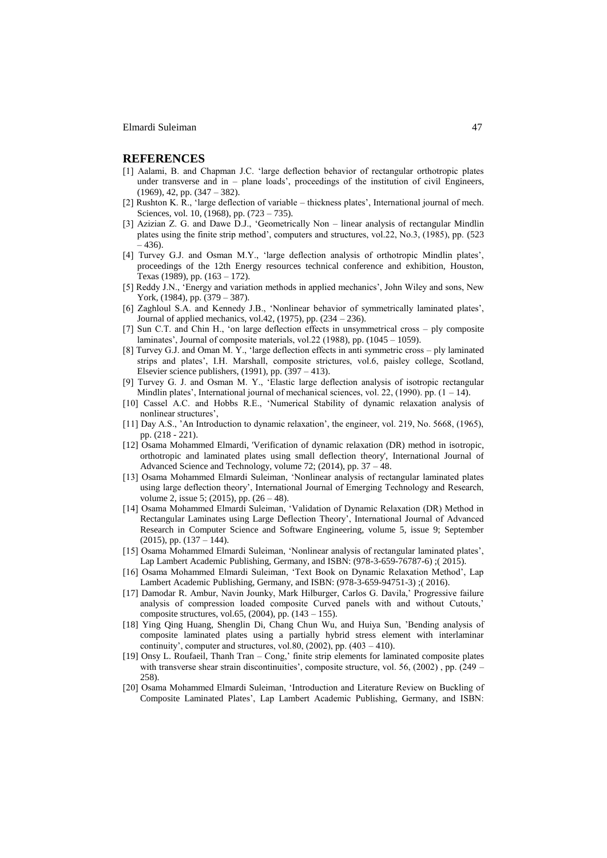#### **REFERENCES**

- [1] Aalami, B. and Chapman J.C. "large deflection behavior of rectangular orthotropic plates under transverse and in – plane loads", proceedings of the institution of civil Engineers, (1969), 42, pp. (347 – 382).
- [2] Rushton K. R., 'large deflection of variable thickness plates', International journal of mech. Sciences, vol. 10, (1968), pp. (723 – 735).
- [3] Azizian Z. G. and Dawe D.J., "Geometrically Non linear analysis of rectangular Mindlin plates using the finite strip method", computers and structures, vol.22, No.3, (1985), pp. (523 – 436).
- [4] Turvey G.J. and Osman M.Y., 'large deflection analysis of orthotropic Mindlin plates', proceedings of the 12th Energy resources technical conference and exhibition, Houston, Texas (1989), pp. (163 – 172).
- [5] Reddy J.N., 'Energy and variation methods in applied mechanics', John Wiley and sons, New York, (1984), pp. (379 – 387).
- [6] Zaghloul S.A. and Kennedy J.B., "Nonlinear behavior of symmetrically laminated plates", Journal of applied mechanics, vol.42, (1975), pp. (234 – 236).
- [7] Sun C.T. and Chin H., "on large deflection effects in unsymmetrical cross ply composite laminates', Journal of composite materials, vol.22 (1988), pp. (1045 – 1059).
- [8] Turvey G.J. and Oman M. Y., "large deflection effects in anti symmetric cross ply laminated strips and plates", I.H. Marshall, composite strictures, vol.6, paisley college, Scotland, Elsevier science publishers,  $(1991)$ , pp.  $(397 - 413)$ .
- [9] Turvey G. J. and Osman M. Y., "Elastic large deflection analysis of isotropic rectangular Mindlin plates', International journal of mechanical sciences, vol. 22,  $(1990)$ . pp.  $(1 - 14)$ .
- [10] Cassel A.C. and Hobbs R.E., "Numerical Stability of dynamic relaxation analysis of nonlinear structures",
- [11] Day A.S., "An Introduction to dynamic relaxation", the engineer, vol. 219, No. 5668, (1965), pp. (218 - 221).
- [12] Osama Mohammed Elmardi, 'Verification of dynamic relaxation (DR) method in isotropic, orthotropic and laminated plates using small deflection theory', International Journal of Advanced Science and Technology, volume 72; (2014), pp. 37 – 48.
- [13] Osama Mohammed Elmardi Suleiman, "Nonlinear analysis of rectangular laminated plates using large deflection theory', International Journal of Emerging Technology and Research, volume 2, issue 5; (2015), pp.  $(26 - 48)$ .
- [14] Osama Mohammed Elmardi Suleiman, "Validation of Dynamic Relaxation (DR) Method in Rectangular Laminates using Large Deflection Theory", International Journal of Advanced Research in Computer Science and Software Engineering, volume 5, issue 9; September  $(2015)$ , pp.  $(137 – 144)$ .
- [15] Osama Mohammed Elmardi Suleiman, "Nonlinear analysis of rectangular laminated plates", Lap Lambert Academic Publishing, Germany, and ISBN: (978-3-659-76787-6) ;( 2015).
- [16] Osama Mohammed Elmardi Suleiman, "Text Book on Dynamic Relaxation Method", Lap Lambert Academic Publishing, Germany, and ISBN: (978-3-659-94751-3) ;( 2016).
- [17] Damodar R. Ambur, Navin Jounky, Mark Hilburger, Carlos G. Davila," Progressive failure analysis of compression loaded composite Curved panels with and without Cutouts," composite structures, vol.65, (2004), pp. (143 – 155).
- [18] Ying Qing Huang, Shenglin Di, Chang Chun Wu, and Huiya Sun, "Bending analysis of composite laminated plates using a partially hybrid stress element with interlaminar continuity', computer and structures, vol.80,  $(2002)$ , pp.  $(403 - 410)$ .
- [19] Onsy L. Roufaeil, Thanh Tran Cong," finite strip elements for laminated composite plates with transverse shear strain discontinuities', composite structure, vol. 56, (2002), pp. (249 – 258).
- [20] Osama Mohammed Elmardi Suleiman, "Introduction and Literature Review on Buckling of Composite Laminated Plates", Lap Lambert Academic Publishing, Germany, and ISBN: